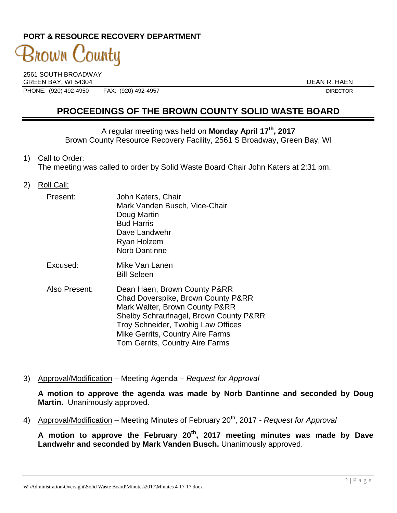# **PORT & RESOURCE RECOVERY DEPARTMENT**

# 3nown County

2561 SOUTH BROADWAY GREEN BAY, WI 54304 DEAN R. HAEN<br>PHONE: (920) 492-4950 FAX: (920) 492-4957 DIRECTOR PHONE: (920) 492-4950 FAX: (920) 492-4957 DIRECTOR

# **PROCEEDINGS OF THE BROWN COUNTY SOLID WASTE BOARD**

A regular meeting was held on **Monday April 17th , 2017** Brown County Resource Recovery Facility, 2561 S Broadway, Green Bay, WI

1) Call to Order:

The meeting was called to order by Solid Waste Board Chair John Katers at 2:31 pm.

2) Roll Call:

| Present:      | John Katers, Chair<br>Mark Vanden Busch, Vice-Chair<br>Doug Martin<br><b>Bud Harris</b><br>Dave Landwehr<br>Ryan Holzem<br><b>Norb Dantinne</b> |
|---------------|-------------------------------------------------------------------------------------------------------------------------------------------------|
| Excused:      | Mike Van Lanen<br><b>Bill Seleen</b>                                                                                                            |
| Also Present: | Dean Haen, Brown County P&RR                                                                                                                    |

- Chad Doverspike, Brown County P&RR Mark Walter, Brown County P&RR Shelby Schraufnagel, Brown County P&RR Troy Schneider, Twohig Law Offices Mike Gerrits, Country Aire Farms Tom Gerrits, Country Aire Farms
- 3) Approval/Modification Meeting Agenda *Request for Approval*

**A motion to approve the agenda was made by Norb Dantinne and seconded by Doug Martin.** Unanimously approved.

4) Approval/Modification – Meeting Minutes of February 20<sup>th</sup>, 2017 *- Request for Approval* 

**A motion to approve the February 20th , 2017 meeting minutes was made by Dave Landwehr and seconded by Mark Vanden Busch.** Unanimously approved.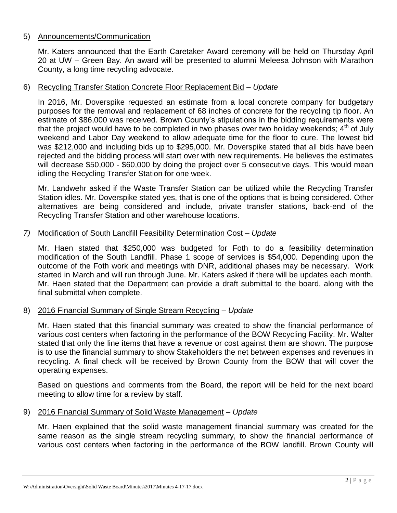#### 5) Announcements/Communication

Mr. Katers announced that the Earth Caretaker Award ceremony will be held on Thursday April 20 at UW – Green Bay. An award will be presented to alumni Meleesa Johnson with Marathon County, a long time recycling advocate.

#### 6) Recycling Transfer Station Concrete Floor Replacement Bid – *Update*

In 2016, Mr. Doverspike requested an estimate from a local concrete company for budgetary purposes for the removal and replacement of 68 inches of concrete for the recycling tip floor. An estimate of \$86,000 was received. Brown County's stipulations in the bidding requirements were that the project would have to be completed in two phases over two holiday weekends;  $4<sup>th</sup>$  of July weekend and Labor Day weekend to allow adequate time for the floor to cure. The lowest bid was \$212,000 and including bids up to \$295,000. Mr. Doverspike stated that all bids have been rejected and the bidding process will start over with new requirements. He believes the estimates will decrease \$50,000 - \$60,000 by doing the project over 5 consecutive days. This would mean idling the Recycling Transfer Station for one week.

Mr. Landwehr asked if the Waste Transfer Station can be utilized while the Recycling Transfer Station idles. Mr. Doverspike stated yes, that is one of the options that is being considered. Other alternatives are being considered and include, private transfer stations, back-end of the Recycling Transfer Station and other warehouse locations.

#### *7)* Modification of South Landfill Feasibility Determination Cost – *Update*

Mr. Haen stated that \$250,000 was budgeted for Foth to do a feasibility determination modification of the South Landfill. Phase 1 scope of services is \$54,000. Depending upon the outcome of the Foth work and meetings with DNR, additional phases may be necessary. Work started in March and will run through June. Mr. Katers asked if there will be updates each month. Mr. Haen stated that the Department can provide a draft submittal to the board, along with the final submittal when complete.

## 8) 2016 Financial Summary of Single Stream Recycling – *Update*

Mr. Haen stated that this financial summary was created to show the financial performance of various cost centers when factoring in the performance of the BOW Recycling Facility. Mr. Walter stated that only the line items that have a revenue or cost against them are shown. The purpose is to use the financial summary to show Stakeholders the net between expenses and revenues in recycling. A final check will be received by Brown County from the BOW that will cover the operating expenses.

Based on questions and comments from the Board, the report will be held for the next board meeting to allow time for a review by staff.

#### 9) 2016 Financial Summary of Solid Waste Management – *Update*

Mr. Haen explained that the solid waste management financial summary was created for the same reason as the single stream recycling summary, to show the financial performance of various cost centers when factoring in the performance of the BOW landfill. Brown County will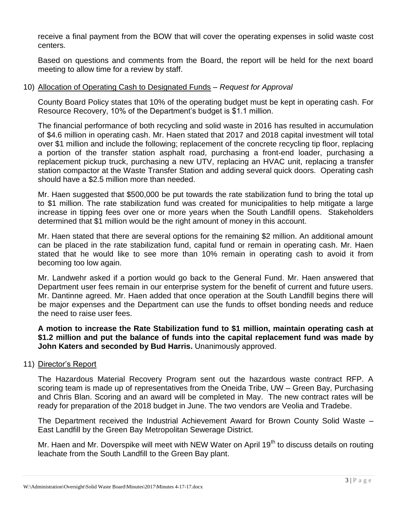receive a final payment from the BOW that will cover the operating expenses in solid waste cost centers.

Based on questions and comments from the Board, the report will be held for the next board meeting to allow time for a review by staff.

## 10) Allocation of Operating Cash to Designated Funds – *Request for Approval*

County Board Policy states that 10% of the operating budget must be kept in operating cash. For Resource Recovery, 10% of the Department's budget is \$1.1 million.

The financial performance of both recycling and solid waste in 2016 has resulted in accumulation of \$4.6 million in operating cash. Mr. Haen stated that 2017 and 2018 capital investment will total over \$1 million and include the following; replacement of the concrete recycling tip floor, replacing a portion of the transfer station asphalt road, purchasing a front-end loader, purchasing a replacement pickup truck, purchasing a new UTV, replacing an HVAC unit, replacing a transfer station compactor at the Waste Transfer Station and adding several quick doors. Operating cash should have a \$2.5 million more than needed.

Mr. Haen suggested that \$500,000 be put towards the rate stabilization fund to bring the total up to \$1 million. The rate stabilization fund was created for municipalities to help mitigate a large increase in tipping fees over one or more years when the South Landfill opens. Stakeholders determined that \$1 million would be the right amount of money in this account.

Mr. Haen stated that there are several options for the remaining \$2 million. An additional amount can be placed in the rate stabilization fund, capital fund or remain in operating cash. Mr. Haen stated that he would like to see more than 10% remain in operating cash to avoid it from becoming too low again.

Mr. Landwehr asked if a portion would go back to the General Fund. Mr. Haen answered that Department user fees remain in our enterprise system for the benefit of current and future users. Mr. Dantinne agreed. Mr. Haen added that once operation at the South Landfill begins there will be major expenses and the Department can use the funds to offset bonding needs and reduce the need to raise user fees.

**A motion to increase the Rate Stabilization fund to \$1 million, maintain operating cash at \$1.2 million and put the balance of funds into the capital replacement fund was made by John Katers and seconded by Bud Harris.** Unanimously approved.

#### 11) Director's Report

The Hazardous Material Recovery Program sent out the hazardous waste contract RFP. A scoring team is made up of representatives from the Oneida Tribe, UW – Green Bay, Purchasing and Chris Blan. Scoring and an award will be completed in May. The new contract rates will be ready for preparation of the 2018 budget in June. The two vendors are Veolia and Tradebe.

The Department received the Industrial Achievement Award for Brown County Solid Waste – East Landfill by the Green Bay Metropolitan Sewerage District.

Mr. Haen and Mr. Doverspike will meet with NEW Water on April 19<sup>th</sup> to discuss details on routing leachate from the South Landfill to the Green Bay plant.